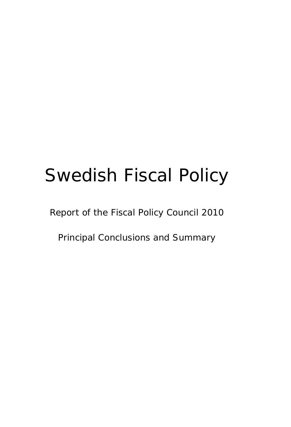# Swedish Fiscal Policy

Report of the Fiscal Policy Council 2010

Principal Conclusions and Summary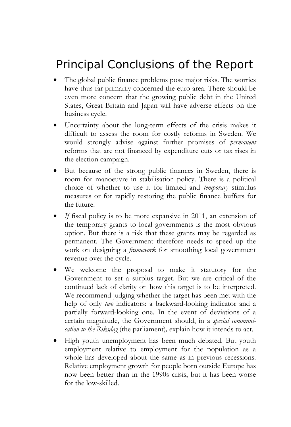## Principal Conclusions of the Report

- The global public finance problems pose major risks. The worries have thus far primarily concerned the euro area. There should be even more concern that the growing public debt in the United States, Great Britain and Japan will have adverse effects on the business cycle.
- Uncertainty about the long-term effects of the crisis makes it difficult to assess the room for costly reforms in Sweden. We would strongly advise against further promises of *permanent* reforms that are not financed by expenditure cuts or tax rises in the election campaign.
- But because of the strong public finances in Sweden, there is room for manoeuvre in stabilisation policy. There is a political choice of whether to use it for limited and *temporary* stimulus measures or for rapidly restoring the public finance buffers for the future.
- If fiscal policy is to be more expansive in 2011, an extension of the temporary grants to local governments is the most obvious option. But there is a risk that these grants may be regarded as permanent. The Government therefore needs to speed up the work on designing a *framework* for smoothing local government revenue over the cycle.
- We welcome the proposal to make it statutory for the Government to set a surplus target. But we are critical of the continued lack of clarity on how this target is to be interpreted. We recommend judging whether the target has been met with the help of only *two* indicators: a backward-looking indicator and a partially forward-looking one. In the event of deviations of a certain magnitude, the Government should, in a *special communication to the Riksdag* (the parliament), explain how it intends to act.
- High youth unemployment has been much debated. But youth employment relative to employment for the population as a whole has developed about the same as in previous recessions. Relative employment growth for people born outside Europe has now been better than in the 1990s crisis, but it has been worse for the low-skilled.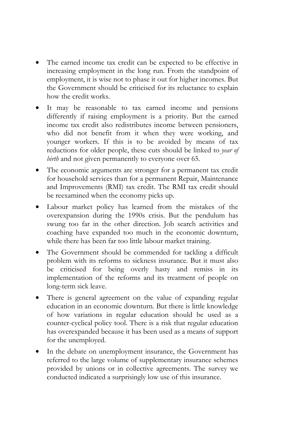- The earned income tax credit can be expected to be effective in increasing employment in the long run. From the standpoint of employment, it is wise not to phase it out for higher incomes. But the Government should be criticised for its reluctance to explain how the credit works.
- It may be reasonable to tax earned income and pensions differently if raising employment is a priority. But the earned income tax credit also redistributes income between pensioners, who did not benefit from it when they were working, and younger workers. If this is to be avoided by means of tax reductions for older people, these cuts should be linked to *year of birth* and not given permanently to everyone over 65.
- The economic arguments are stronger for a permanent tax credit for household services than for a permanent Repair, Maintenance and Improvements (RMI) tax credit. The RMI tax credit should be reexamined when the economy picks up.
- Labour market policy has learned from the mistakes of the overexpansion during the 1990s crisis. But the pendulum has swung too far in the other direction. Job search activities and coaching have expanded too much in the economic downturn, while there has been far too little labour market training.
- The Government should be commended for tackling a difficult problem with its reforms to sickness insurance. But it must also be criticised for being overly hasty and remiss in its implementation of the reforms and its treatment of people on long-term sick leave.
- There is general agreement on the value of expanding regular education in an economic downturn. But there is little knowledge of how variations in regular education should be used as a counter-cyclical policy tool. There is a risk that regular education has overexpanded because it has been used as a means of support for the unemployed.
- In the debate on unemployment insurance, the Government has referred to the large volume of supplementary insurance schemes provided by unions or in collective agreements. The survey we conducted indicated a surprisingly low use of this insurance.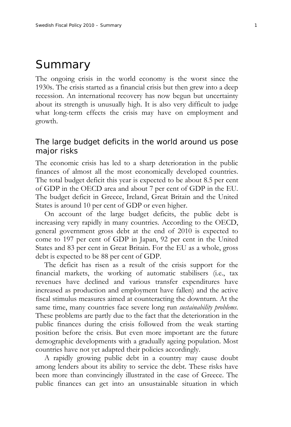### Summary

The ongoing crisis in the world economy is the worst since the 1930s. The crisis started as a financial crisis but then grew into a deep recession. An international recovery has now begun but uncertainty about its strength is unusually high. It is also very difficult to judge what long-term effects the crisis may have on employment and growth.

#### The large budget deficits in the world around us pose major risks

The economic crisis has led to a sharp deterioration in the public finances of almost all the most economically developed countries. The total budget deficit this year is expected to be about 8.5 per cent of GDP in the OECD area and about 7 per cent of GDP in the EU. The budget deficit in Greece, Ireland, Great Britain and the United States is around 10 per cent of GDP or even higher.

On account of the large budget deficits, the public debt is increasing very rapidly in many countries. According to the OECD, general government gross debt at the end of 2010 is expected to come to 197 per cent of GDP in Japan, 92 per cent in the United States and 83 per cent in Great Britain. For the EU as a whole, gross debt is expected to be 88 per cent of GDP.

The deficit has risen as a result of the crisis support for the financial markets, the working of automatic stabilisers (i.e., tax revenues have declined and various transfer expenditures have increased as production and employment have fallen) and the active fiscal stimulus measures aimed at counteracting the downturn. At the same time, many countries face severe long run *sustainability problems*. These problems are partly due to the fact that the deterioration in the public finances during the crisis followed from the weak starting position before the crisis. But even more important are the future demographic developments with a gradually ageing population. Most countries have not yet adapted their policies accordingly.

A rapidly growing public debt in a country may cause doubt among lenders about its ability to service the debt. These risks have been more than convincingly illustrated in the case of Greece. The public finances can get into an unsustainable situation in which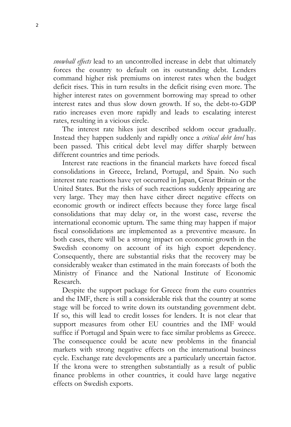*snowball effects* lead to an uncontrolled increase in debt that ultimately forces the country to default on its outstanding debt. Lenders command higher risk premiums on interest rates when the budget deficit rises. This in turn results in the deficit rising even more. The higher interest rates on government borrowing may spread to other interest rates and thus slow down growth. If so, the debt-to-GDP ratio increases even more rapidly and leads to escalating interest rates, resulting in a vicious circle.

The interest rate hikes just described seldom occur gradually. Instead they happen suddenly and rapidly once a *critical debt level* has been passed. This critical debt level may differ sharply between different countries and time periods.

Interest rate reactions in the financial markets have forced fiscal consolidations in Greece, Ireland, Portugal, and Spain. No such interest rate reactions have yet occurred in Japan, Great Britain or the United States. But the risks of such reactions suddenly appearing are very large. They may then have either direct negative effects on economic growth or indirect effects because they force large fiscal consolidations that may delay or, in the worst case, reverse the international economic upturn. The same thing may happen if major fiscal consolidations are implemented as a preventive measure. In both cases, there will be a strong impact on economic growth in the Swedish economy on account of its high export dependency. Consequently, there are substantial risks that the recovery may be considerably weaker than estimated in the main forecasts of both the Ministry of Finance and the National Institute of Economic Research.

Despite the support package for Greece from the euro countries and the IMF, there is still a considerable risk that the country at some stage will be forced to write down its outstanding government debt. If so, this will lead to credit losses for lenders. It is not clear that support measures from other EU countries and the IMF would suffice if Portugal and Spain were to face similar problems as Greece. The consequence could be acute new problems in the financial markets with strong negative effects on the international business cycle. Exchange rate developments are a particularly uncertain factor. If the krona were to strengthen substantially as a result of public finance problems in other countries, it could have large negative effects on Swedish exports.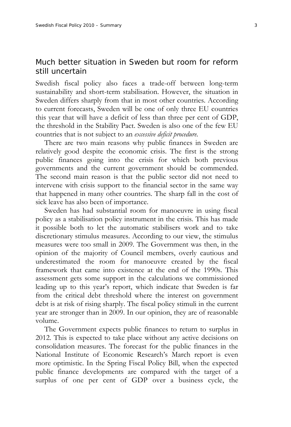#### Much better situation in Sweden but *room for reform* still uncertain

Swedish fiscal policy also faces a trade-off between long-term sustainability and short-term stabilisation. However, the situation in Sweden differs sharply from that in most other countries. According to current forecasts, Sweden will be one of only three EU countries this year that will have a deficit of less than three per cent of GDP, the threshold in the Stability Pact. Sweden is also one of the few EU countries that is not subject to an *excessive deficit procedure*.

There are two main reasons why public finances in Sweden are relatively good despite the economic crisis. The first is the strong public finances going into the crisis for which both previous governments and the current government should be commended. The second main reason is that the public sector did not need to intervene with crisis support to the financial sector in the same way that happened in many other countries. The sharp fall in the cost of sick leave has also been of importance.

Sweden has had substantial room for manoeuvre in using fiscal policy as a stabilisation policy instrument in the crisis. This has made it possible both to let the automatic stabilisers work and to take discretionary stimulus measures. According to our view, the stimulus measures were too small in 2009. The Government was then, in the opinion of the majority of Council members, overly cautious and underestimated the room for manoeuvre created by the fiscal framework that came into existence at the end of the 1990s. This assessment gets some support in the calculations we commissioned leading up to this year's report, which indicate that Sweden is far from the critical debt threshold where the interest on government debt is at risk of rising sharply. The fiscal policy stimuli in the current year are stronger than in 2009. In our opinion, they are of reasonable volume.

The Government expects public finances to return to surplus in 2012. This is expected to take place without any active decisions on consolidation measures. The forecast for the public finances in the National Institute of Economic Research's March report is even more optimistic. In the Spring Fiscal Policy Bill, when the expected public finance developments are compared with the target of a surplus of one per cent of GDP over a business cycle, the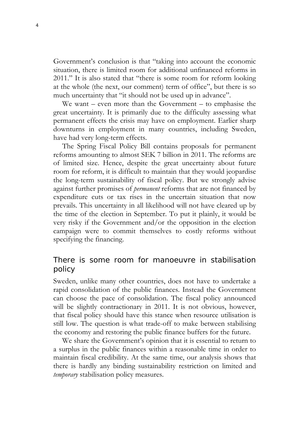Government's conclusion is that "taking into account the economic situation, there is limited room for additional unfinanced reforms in 2011." It is also stated that "there is some room for reform looking at the whole (the next, our comment) term of office", but there is so much uncertainty that "it should not be used up in advance".

We want – even more than the Government – to emphasise the great uncertainty. It is primarily due to the difficulty assessing what permanent effects the crisis may have on employment. Earlier sharp downturns in employment in many countries, including Sweden, have had very long-term effects.

The Spring Fiscal Policy Bill contains proposals for permanent reforms amounting to almost SEK 7 billion in 2011. The reforms are of limited size. Hence, despite the great uncertainty about future room for reform, it is difficult to maintain that they would jeopardise the long-term sustainability of fiscal policy. But we strongly advise against further promises of *permanent* reforms that are not financed by expenditure cuts or tax rises in the uncertain situation that now prevails. This uncertainty in all likelihood will not have cleared up by the time of the election in September. To put it plainly, it would be very risky if the Government and/or the opposition in the election campaign were to commit themselves to costly reforms without specifying the financing.

#### There is some room for manoeuvre in *stabilisation policy*

Sweden, unlike many other countries, does not have to undertake a rapid consolidation of the public finances. Instead the Government can choose the pace of consolidation. The fiscal policy announced will be slightly contractionary in 2011. It is not obvious, however, that fiscal policy should have this stance when resource utilisation is still low. The question is what trade-off to make between stabilising the economy and restoring the public finance buffers for the future.

We share the Government's opinion that it is essential to return to a surplus in the public finances within a reasonable time in order to maintain fiscal credibility. At the same time, our analysis shows that there is hardly any binding sustainability restriction on limited and *temporary* stabilisation policy measures.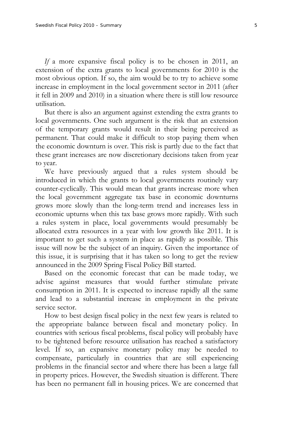*If* a more expansive fiscal policy is to be chosen in 2011, an extension of the extra grants to local governments for 2010 is the most obvious option. If so, the aim would be to try to achieve some increase in employment in the local government sector in 2011 (after it fell in 2009 and 2010) in a situation where there is still low resource utilisation.

But there is also an argument against extending the extra grants to local governments. One such argument is the risk that an extension of the temporary grants would result in their being perceived as permanent. That could make it difficult to stop paying them when the economic downturn is over. This risk is partly due to the fact that these grant increases are now discretionary decisions taken from year to year.

We have previously argued that a rules system should be introduced in which the grants to local governments routinely vary counter-cyclically. This would mean that grants increase more when the local government aggregate tax base in economic downturns grows more slowly than the long-term trend and increases less in economic upturns when this tax base grows more rapidly. With such a rules system in place, local governments would presumably be allocated extra resources in a year with low growth like 2011. It is important to get such a system in place as rapidly as possible. This issue will now be the subject of an inquiry. Given the importance of this issue, it is surprising that it has taken so long to get the review announced in the 2009 Spring Fiscal Policy Bill started.

Based on the economic forecast that can be made today, we advise against measures that would further stimulate private consumption in 2011. It is expected to increase rapidly all the same and lead to a substantial increase in employment in the private service sector.

How to best design fiscal policy in the next few years is related to the appropriate balance between fiscal and monetary policy. In countries with serious fiscal problems, fiscal policy will probably have to be tightened before resource utilisation has reached a satisfactory level. If so, an expansive monetary policy may be needed to compensate, particularly in countries that are still experiencing problems in the financial sector and where there has been a large fall in property prices. However, the Swedish situation is different. There has been no permanent fall in housing prices. We are concerned that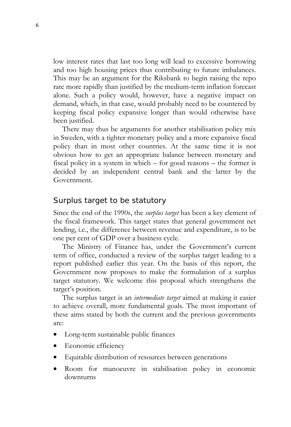low interest rates that last too long will lead to excessive borrowing and too high housing prices thus contributing to future imbalances. This may be an argument for the Riksbank to begin raising the repo rate more rapidly than justified by the medium-term inflation forecast alone. Such a policy would, however, have a negative impact on demand, which, in that case, would probably need to be countered by keeping fiscal policy expansive longer than would otherwise have been justified.

There may thus be arguments for another stabilisation policy mix in Sweden, with a tighter monetary policy and a more expansive fiscal policy than in most other countries. At the same time it is not obvious how to get an appropriate balance between monetary and fiscal policy in a system in which – for good reasons – the former is decided by an independent central bank and the latter by the Government.

#### Surplus target to be statutory

Since the end of the 1990s, the *surplus target* has been a key element of the fiscal framework. This target states that general government net lending, i.e., the difference between revenue and expenditure, is to be one per cent of GDP over a business cycle.

The Ministry of Finance has, under the Government's current term of office, conducted a review of the surplus target leading to a report published earlier this year. On the basis of this report, the Government now proposes to make the formulation of a surplus target statutory. We welcome this proposal which strengthens the target's position.

The surplus target is an *intermediate target* aimed at making it easier to achieve overall, more fundamental goals. The most important of these aims stated by both the current and the previous governments are:

- Long-term sustainable public finances
- Economic efficiency
- Equitable distribution of resources between generations
- Room for manoeuvre in stabilisation policy in economic downturns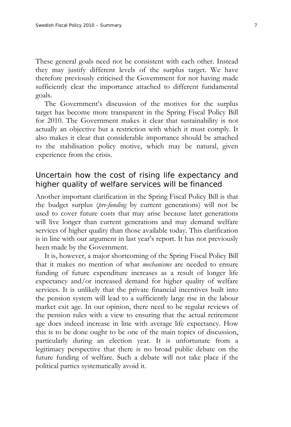These general goals need not be consistent with each other. Instead they may justify different levels of the surplus target. We have therefore previously criticised the Government for not having made sufficiently clear the importance attached to different fundamental goals.

The Government's discussion of the motives for the surplus target has become more transparent in the Spring Fiscal Policy Bill for 2010. The Government makes it clear that sustainability is not actually an objective but a restriction with which it must comply. It also makes it clear that considerable importance should be attached to the stabilisation policy motive, which may be natural, given experience from the crisis.

#### Uncertain how the cost of rising life expectancy and higher quality of welfare services will be financed

Another important clarification in the Spring Fiscal Policy Bill is that the budget surplus (*pre-funding* by current generations) will not be used to cover future costs that may arise because later generations will live longer than current generations and may demand welfare services of higher quality than those available today. This clarification is in line with our argument in last year's report. It has not previously been made by the Government.

It is, however, a major shortcoming of the Spring Fiscal Policy Bill that it makes no mention of what *mechanisms* are needed to ensure funding of future expenditure increases as a result of longer life expectancy and/or increased demand for higher quality of welfare services. It is unlikely that the private financial incentives built into the pension system will lead to a sufficiently large rise in the labour market exit age. In our opinion, there need to be regular reviews of the pension rules with a view to ensuring that the actual retirement age does indeed increase in line with average life expectancy. How this is to be done ought to be one of the main topics of discussion, particularly during an election year. It is unfortunate from a legitimacy perspective that there is no broad public debate on the future funding of welfare. Such a debate will not take place if the political parties systematically avoid it.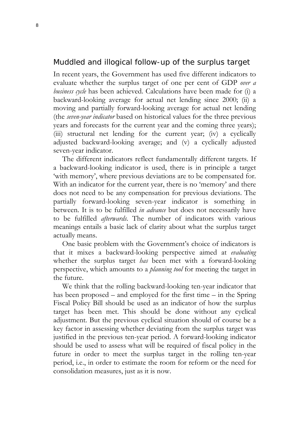#### Muddled and illogical follow-up of the surplus target

In recent years, the Government has used five different indicators to evaluate whether the surplus target of one per cent of GDP *over a business cycle* has been achieved. Calculations have been made for (i) a backward-looking average for actual net lending since 2000; (ii) a moving and partially forward-looking average for actual net lending (the *seven-year indicator* based on historical values for the three previous years and forecasts for the current year and the coming three years); (iii) structural net lending for the current year; (iv) a cyclically adjusted backward-looking average; and (v) a cyclically adjusted seven-year indicator.

The different indicators reflect fundamentally different targets. If a backward-looking indicator is used, there is in principle a target 'with memory', where previous deviations are to be compensated for. With an indicator for the current year, there is no 'memory' and there does not need to be any compensation for previous deviations. The partially forward-looking seven-year indicator is something in between. It is to be fulfilled *in advance* but does not necessarily have to be fulfilled *afterwards*. The number of indicators with various meanings entails a basic lack of clarity about what the surplus target actually means.

One basic problem with the Government's choice of indicators is that it mixes a backward-looking perspective aimed at *evaluating*  whether the surplus target *has* been met with a forward-looking perspective, which amounts to a *planning tool* for meeting the target in the future.

We think that the rolling backward-looking ten-year indicator that has been proposed – and employed for the first time – in the Spring Fiscal Policy Bill should be used as an indicator of how the surplus target has been met. This should be done without any cyclical adjustment. But the previous cyclical situation should of course be a key factor in assessing whether deviating from the surplus target was justified in the previous ten-year period. A forward-looking indicator should be used to assess what will be required of fiscal policy in the future in order to meet the surplus target in the rolling ten-year period, i.e., in order to estimate the room for reform or the need for consolidation measures, just as it is now.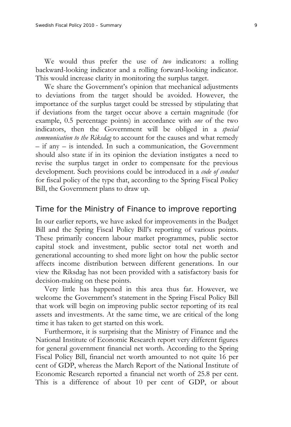We would thus prefer the use of *two* indicators: a rolling backward-looking indicator and a rolling forward-looking indicator*.* This would increase clarity in monitoring the surplus target.

We share the Government's opinion that mechanical adjustments to deviations from the target should be avoided. However, the importance of the surplus target could be stressed by stipulating that if deviations from the target occur above a certain magnitude (for example, 0.5 percentage points) in accordance with *one* of the two indicators, then the Government will be obliged in a *special communication to the Riksdag* to account for the causes and what remedy – if any – is intended. In such a communication, the Government should also state if in its opinion the deviation instigates a need to revise the surplus target in order to compensate for the previous development. Such provisions could be introduced in a *code of conduct* for fiscal policy of the type that, according to the Spring Fiscal Policy Bill, the Government plans to draw up.

#### Time for the Ministry of Finance to improve reporting

In our earlier reports, we have asked for improvements in the Budget Bill and the Spring Fiscal Policy Bill's reporting of various points. These primarily concern labour market programmes, public sector capital stock and investment, public sector total net worth and generational accounting to shed more light on how the public sector affects income distribution between different generations. In our view the Riksdag has not been provided with a satisfactory basis for decision-making on these points.

Very little has happened in this area thus far. However, we welcome the Government's statement in the Spring Fiscal Policy Bill that work will begin on improving public sector reporting of its real assets and investments. At the same time, we are critical of the long time it has taken to get started on this work.

Furthermore, it is surprising that the Ministry of Finance and the National Institute of Economic Research report very different figures for general government financial net worth. According to the Spring Fiscal Policy Bill, financial net worth amounted to not quite 16 per cent of GDP, whereas the March Report of the National Institute of Economic Research reported a financial net worth of 25.8 per cent. This is a difference of about 10 per cent of GDP, or about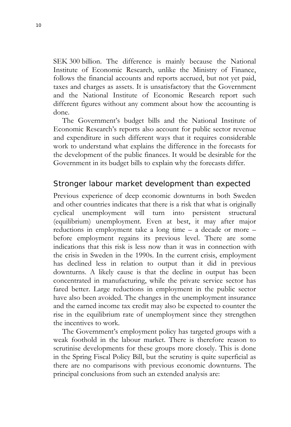SEK 300 billion. The difference is mainly because the National Institute of Economic Research, unlike the Ministry of Finance, follows the financial accounts and reports accrued, but not yet paid, taxes and charges as assets. It is unsatisfactory that the Government and the National Institute of Economic Research report such different figures without any comment about how the accounting is done.

The Government's budget bills and the National Institute of Economic Research's reports also account for public sector revenue and expenditure in such different ways that it requires considerable work to understand what explains the difference in the forecasts for the development of the public finances. It would be desirable for the Government in its budget bills to explain why the forecasts differ.

#### Stronger labour market development than expected

Previous experience of deep economic downturns in both Sweden and other countries indicates that there is a risk that what is originally cyclical unemployment will turn into persistent structural (equilibrium) unemployment. Even at best, it may after major reductions in employment take a long time – a decade or more – before employment regains its previous level. There are some indications that this risk is less now than it was in connection with the crisis in Sweden in the 1990s. In the current crisis, employment has declined less in relation to output than it did in previous downturns. A likely cause is that the decline in output has been concentrated in manufacturing, while the private service sector has fared better. Large reductions in employment in the public sector have also been avoided. The changes in the unemployment insurance and the earned income tax credit may also be expected to counter the rise in the equilibrium rate of unemployment since they strengthen the incentives to work.

The Government's employment policy has targeted groups with a weak foothold in the labour market. There is therefore reason to scrutinise developments for these groups more closely. This is done in the Spring Fiscal Policy Bill, but the scrutiny is quite superficial as there are no comparisons with previous economic downturns. The principal conclusions from such an extended analysis are: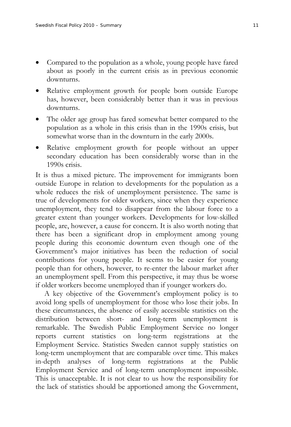- Compared to the population as a whole, young people have fared about as poorly in the current crisis as in previous economic downturns.
- Relative employment growth for people born outside Europe has, however, been considerably better than it was in previous downturns.
- The older age group has fared somewhat better compared to the population as a whole in this crisis than in the 1990s crisis, but somewhat worse than in the downturn in the early 2000s.
- Relative employment growth for people without an upper secondary education has been considerably worse than in the 1990s crisis.

It is thus a mixed picture. The improvement for immigrants born outside Europe in relation to developments for the population as a whole reduces the risk of unemployment persistence. The same is true of developments for older workers, since when they experience unemployment, they tend to disappear from the labour force to a greater extent than younger workers. Developments for low-skilled people, are, however, a cause for concern. It is also worth noting that there has been a significant drop in employment among young people during this economic downturn even though one of the Government's major initiatives has been the reduction of social contributions for young people. It seems to be easier for young people than for others, however, to re-enter the labour market after an unemployment spell. From this perspective, it may thus be worse if older workers become unemployed than if younger workers do.

A key objective of the Government's employment policy is to avoid long spells of unemployment for those who lose their jobs. In these circumstances, the absence of easily accessible statistics on the distribution between short- and long-term unemployment is remarkable. The Swedish Public Employment Service no longer reports current statistics on long-term registrations at the Employment Service. Statistics Sweden cannot supply statistics on long-term unemployment that are comparable over time. This makes in-depth analyses of long-term registrations at the Public Employment Service and of long-term unemployment impossible. This is unacceptable. It is not clear to us how the responsibility for the lack of statistics should be apportioned among the Government,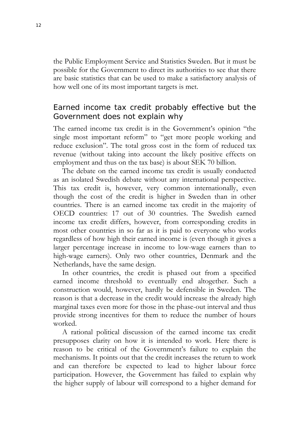the Public Employment Service and Statistics Sweden. But it must be possible for the Government to direct its authorities to see that there are basic statistics that can be used to make a satisfactory analysis of how well one of its most important targets is met.

#### Earned income tax credit probably effective but the Government does not explain why

The earned income tax credit is in the Government's opinion "the single most important reform" to "get more people working and reduce exclusion". The total gross cost in the form of reduced tax revenue (without taking into account the likely positive effects on employment and thus on the tax base) is about SEK 70 billion.

The debate on the earned income tax credit is usually conducted as an isolated Swedish debate without any international perspective. This tax credit is, however, very common internationally, even though the cost of the credit is higher in Sweden than in other countries. There is an earned income tax credit in the majority of OECD countries: 17 out of 30 countries. The Swedish earned income tax credit differs, however, from corresponding credits in most other countries in so far as it is paid to everyone who works regardless of how high their earned income is (even though it gives a larger percentage increase in income to low-wage earners than to high-wage earners). Only two other countries, Denmark and the Netherlands, have the same design.

In other countries, the credit is phased out from a specified earned income threshold to eventually end altogether. Such a construction would, however, hardly be defensible in Sweden. The reason is that a decrease in the credit would increase the already high marginal taxes even more for those in the phase-out interval and thus provide strong incentives for them to reduce the number of hours worked.

A rational political discussion of the earned income tax credit presupposes clarity on how it is intended to work. Here there is reason to be critical of the Government's failure to explain the mechanisms. It points out that the credit increases the return to work and can therefore be expected to lead to higher labour force participation. However, the Government has failed to explain why the higher supply of labour will correspond to a higher demand for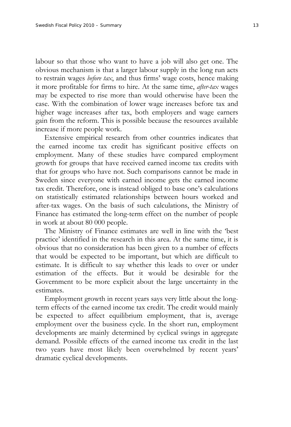labour so that those who want to have a job will also get one. The obvious mechanism is that a larger labour supply in the long run acts to restrain wages *before tax*, and thus firms' wage costs, hence making it more profitable for firms to hire. At the same time, *after-tax* wages may be expected to rise more than would otherwise have been the case. With the combination of lower wage increases before tax and higher wage increases after tax, both employers and wage earners gain from the reform. This is possible because the resources available increase if more people work.

Extensive empirical research from other countries indicates that the earned income tax credit has significant positive effects on employment. Many of these studies have compared employment growth for groups that have received earned income tax credits with that for groups who have not. Such comparisons cannot be made in Sweden since everyone with earned income gets the earned income tax credit. Therefore, one is instead obliged to base one's calculations on statistically estimated relationships between hours worked and after-tax wages. On the basis of such calculations, the Ministry of Finance has estimated the long-term effect on the number of people in work at about 80 000 people.

The Ministry of Finance estimates are well in line with the 'best practice' identified in the research in this area. At the same time, it is obvious that no consideration has been given to a number of effects that would be expected to be important, but which are difficult to estimate. It is difficult to say whether this leads to over or under estimation of the effects. But it would be desirable for the Government to be more explicit about the large uncertainty in the estimates.

Employment growth in recent years says very little about the longterm effects of the earned income tax credit. The credit would mainly be expected to affect equilibrium employment, that is, average employment over the business cycle. In the short run, employment developments are mainly determined by cyclical swings in aggregate demand. Possible effects of the earned income tax credit in the last two years have most likely been overwhelmed by recent years' dramatic cyclical developments.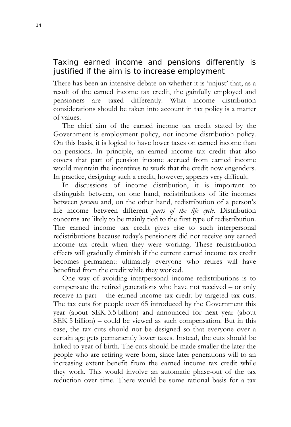#### Taxing earned income and pensions differently is justified if the aim is to increase employment

There has been an intensive debate on whether it is 'unjust' that, as a result of the earned income tax credit, the gainfully employed and pensioners are taxed differently. What income distribution considerations should be taken into account in tax policy is a matter of values.

The chief aim of the earned income tax credit stated by the Government is employment policy, not income distribution policy. On this basis, it is logical to have lower taxes on earned income than on pensions. In principle, an earned income tax credit that also covers that part of pension income accrued from earned income would maintain the incentives to work that the credit now engenders. In practice, designing such a credit, however, appears very difficult.

In discussions of income distribution, it is important to distinguish between, on one hand, redistributions of life incomes between *persons* and, on the other hand, redistribution of a person's life income between different *parts of the life cycle*. Distribution concerns are likely to be mainly tied to the first type of redistribution. The earned income tax credit gives rise to such interpersonal redistributions because today's pensioners did not receive any earned income tax credit when they were working. These redistribution effects will gradually diminish if the current earned income tax credit becomes permanent: ultimately everyone who retires will have benefited from the credit while they worked.

One way of avoiding interpersonal income redistributions is to compensate the retired generations who have not received – or only receive in part – the earned income tax credit by targeted tax cuts. The tax cuts for people over 65 introduced by the Government this year (about SEK 3.5 billion) and announced for next year (about SEK 5 billion) – could be viewed as such compensation. But in this case, the tax cuts should not be designed so that everyone over a certain age gets permanently lower taxes. Instead, the cuts should be linked to year of birth. The cuts should be made smaller the later the people who are retiring were born, since later generations will to an increasing extent benefit from the earned income tax credit while they work. This would involve an automatic phase-out of the tax reduction over time. There would be some rational basis for a tax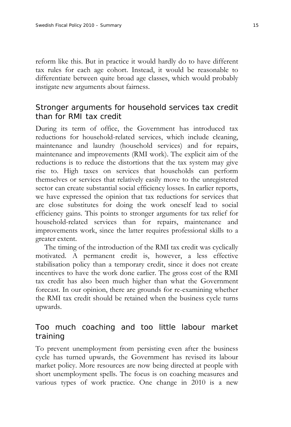reform like this. But in practice it would hardly do to have different tax rules for each age cohort. Instead, it would be reasonable to differentiate between quite broad age classes, which would probably instigate new arguments about fairness.

#### Stronger arguments for household services tax credit than for RMI tax credit

During its term of office, the Government has introduced tax reductions for household-related services, which include cleaning, maintenance and laundry (household services) and for repairs, maintenance and improvements (RMI work). The explicit aim of the reductions is to reduce the distortions that the tax system may give rise to. High taxes on services that households can perform themselves or services that relatively easily move to the unregistered sector can create substantial social efficiency losses. In earlier reports, we have expressed the opinion that tax reductions for services that are close substitutes for doing the work oneself lead to social efficiency gains. This points to stronger arguments for tax relief for household-related services than for repairs, maintenance and improvements work, since the latter requires professional skills to a greater extent.

The timing of the introduction of the RMI tax credit was cyclically motivated. A permanent credit is, however, a less effective stabilisation policy than a temporary credit, since it does not create incentives to have the work done earlier. The gross cost of the RMI tax credit has also been much higher than what the Government forecast. In our opinion, there are grounds for re-examining whether the RMI tax credit should be retained when the business cycle turns upwards.

#### Too much coaching and too little labour market training

To prevent unemployment from persisting even after the business cycle has turned upwards, the Government has revised its labour market policy. More resources are now being directed at people with short unemployment spells. The focus is on coaching measures and various types of work practice. One change in 2010 is a new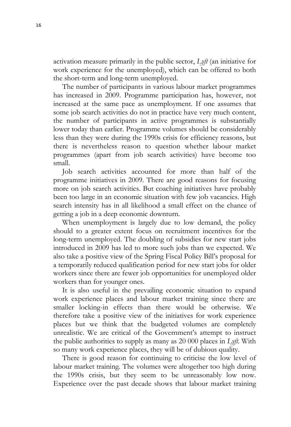activation measure primarily in the public sector, *Lyft* (an initiative for work experience for the unemployed), which can be offered to both the short-term and long-term unemployed.

The number of participants in various labour market programmes has increased in 2009. Programme participation has, however, not increased at the same pace as unemployment. If one assumes that some job search activities do not in practice have very much content, the number of participants in active programmes is substantially lower today than earlier. Programme volumes should be considerably less than they were during the 1990s crisis for efficiency reasons, but there is nevertheless reason to question whether labour market programmes (apart from job search activities) have become too small.

Job search activities accounted for more than half of the programme initiatives in 2009. There are good reasons for focusing more on job search activities. But coaching initiatives have probably been too large in an economic situation with few job vacancies. High search intensity has in all likelihood a small effect on the chance of getting a job in a deep economic downturn.

When unemployment is largely due to low demand, the policy should to a greater extent focus on recruitment incentives for the long-term unemployed. The doubling of subsidies for new start jobs introduced in 2009 has led to more such jobs than we expected. We also take a positive view of the Spring Fiscal Policy Bill's proposal for a temporarily reduced qualification period for new start jobs for older workers since there are fewer job opportunities for unemployed older workers than for younger ones.

It is also useful in the prevailing economic situation to expand work experience places and labour market training since there are smaller locking-in effects than there would be otherwise. We therefore take a positive view of the initiatives for work experience places but we think that the budgeted volumes are completely unrealistic. We are critical of the Government's attempt to instruct the public authorities to supply as many as 20 000 places in *Lyft*. With so many work experience places, they will be of dubious quality.

There is good reason for continuing to criticise the low level of labour market training. The volumes were altogether too high during the 1990s crisis, but they seem to be unreasonably low now. Experience over the past decade shows that labour market training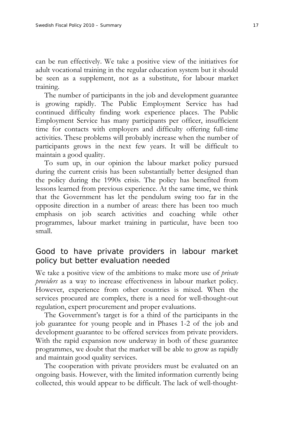can be run effectively. We take a positive view of the initiatives for adult vocational training in the regular education system but it should be seen as a supplement, not as a substitute, for labour market training.

The number of participants in the job and development guarantee is growing rapidly. The Public Employment Service has had continued difficulty finding work experience places. The Public Employment Service has many participants per officer, insufficient time for contacts with employers and difficulty offering full-time activities. These problems will probably increase when the number of participants grows in the next few years. It will be difficult to maintain a good quality.

To sum up, in our opinion the labour market policy pursued during the current crisis has been substantially better designed than the policy during the 1990s crisis. The policy has benefited from lessons learned from previous experience. At the same time, we think that the Government has let the pendulum swing too far in the opposite direction in a number of areas: there has been too much emphasis on job search activities and coaching while other programmes, labour market training in particular, have been too small.

#### Good to have private providers in labour market policy but better evaluation needed

We take a positive view of the ambitions to make more use of *private providers* as a way to increase effectiveness in labour market policy. However, experience from other countries is mixed. When the services procured are complex, there is a need for well-thought-out regulation, expert procurement and proper evaluations.

The Government's target is for a third of the participants in the job guarantee for young people and in Phases 1-2 of the job and development guarantee to be offered services from private providers. With the rapid expansion now underway in both of these guarantee programmes, we doubt that the market will be able to grow as rapidly and maintain good quality services.

The cooperation with private providers must be evaluated on an ongoing basis. However, with the limited information currently being collected, this would appear to be difficult. The lack of well-thought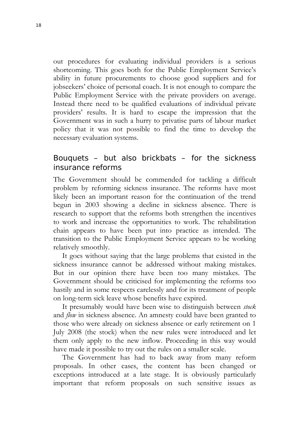out procedures for evaluating individual providers is a serious shortcoming. This goes both for the Public Employment Service's ability in future procurements to choose good suppliers and for jobseekers' choice of personal coach. It is not enough to compare the Public Employment Service with the private providers on average. Instead there need to be qualified evaluations of individual private providers' results. It is hard to escape the impression that the Government was in such a hurry to privatise parts of labour market policy that it was not possible to find the time to develop the necessary evaluation systems.

#### Bouquets – but also brickbats – for the sickness insurance reforms

The Government should be commended for tackling a difficult problem by reforming sickness insurance. The reforms have most likely been an important reason for the continuation of the trend begun in 2003 showing a decline in sickness absence. There is research to support that the reforms both strengthen the incentives to work and increase the opportunities to work. The rehabilitation chain appears to have been put into practice as intended. The transition to the Public Employment Service appears to be working relatively smoothly.

It goes without saying that the large problems that existed in the sickness insurance cannot be addressed without making mistakes. But in our opinion there have been too many mistakes. The Government should be criticised for implementing the reforms too hastily and in some respects carelessly and for its treatment of people on long-term sick leave whose benefits have expired.

It presumably would have been wise to distinguish between *stock*  and *flow* in sickness absence. An amnesty could have been granted to those who were already on sickness absence or early retirement on 1 July 2008 (the stock) when the new rules were introduced and let them only apply to the new inflow. Proceeding in this way would have made it possible to try out the rules on a smaller scale.

The Government has had to back away from many reform proposals. In other cases, the content has been changed or exceptions introduced at a late stage. It is obviously particularly important that reform proposals on such sensitive issues as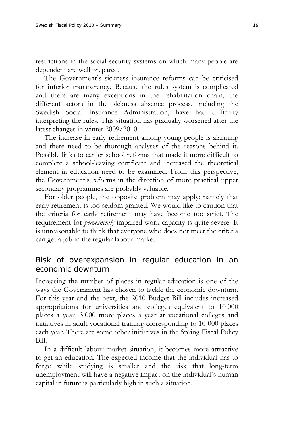restrictions in the social security systems on which many people are dependent are well prepared.

The Government's sickness insurance reforms can be criticised for inferior transparency. Because the rules system is complicated and there are many exceptions in the rehabilitation chain, the different actors in the sickness absence process, including the Swedish Social Insurance Administration, have had difficulty interpreting the rules. This situation has gradually worsened after the latest changes in winter 2009/2010.

The increase in early retirement among young people is alarming and there need to be thorough analyses of the reasons behind it. Possible links to earlier school reforms that made it more difficult to complete a school-leaving certificate and increased the theoretical element in education need to be examined. From this perspective, the Government's reforms in the direction of more practical upper secondary programmes are probably valuable.

For older people, the opposite problem may apply: namely that early retirement is too seldom granted. We would like to caution that the criteria for early retirement may have become too strict. The requirement for *permanently* impaired work capacity is quite severe. It is unreasonable to think that everyone who does not meet the criteria can get a job in the regular labour market.

#### Risk of overexpansion in regular education in an economic downturn

Increasing the number of places in regular education is one of the ways the Government has chosen to tackle the economic downturn. For this year and the next, the 2010 Budget Bill includes increased appropriations for universities and colleges equivalent to 10 000 places a year, 3 000 more places a year at vocational colleges and initiatives in adult vocational training corresponding to 10 000 places each year. There are some other initiatives in the Spring Fiscal Policy Bill.

In a difficult labour market situation, it becomes more attractive to get an education. The expected income that the individual has to forgo while studying is smaller and the risk that long-term unemployment will have a negative impact on the individual's human capital in future is particularly high in such a situation.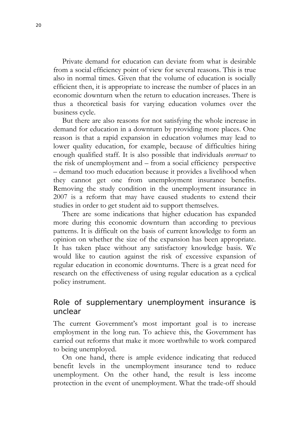Private demand for education can deviate from what is desirable from a social efficiency point of view for several reasons. This is true also in normal times. Given that the volume of education is socially efficient then, it is appropriate to increase the number of places in an economic downturn when the return to education increases. There is thus a theoretical basis for varying education volumes over the business cycle.

But there are also reasons for not satisfying the whole increase in demand for education in a downturn by providing more places. One reason is that a rapid expansion in education volumes may lead to lower quality education, for example, because of difficulties hiring enough qualified staff. It is also possible that individuals *overreact* to the risk of unemployment and – from a social efficiency perspective – demand too much education because it provides a livelihood when they cannot get one from unemployment insurance benefits. Removing the study condition in the unemployment insurance in 2007 is a reform that may have caused students to extend their studies in order to get student aid to support themselves.

There are some indications that higher education has expanded more during this economic downturn than according to previous patterns. It is difficult on the basis of current knowledge to form an opinion on whether the size of the expansion has been appropriate. It has taken place without any satisfactory knowledge basis. We would like to caution against the risk of excessive expansion of regular education in economic downturns. There is a great need for research on the effectiveness of using regular education as a cyclical policy instrument.

#### Role of supplementary unemployment insurance is unclear

The current Government's most important goal is to increase employment in the long run. To achieve this, the Government has carried out reforms that make it more worthwhile to work compared to being unemployed.

On one hand, there is ample evidence indicating that reduced benefit levels in the unemployment insurance tend to reduce unemployment. On the other hand, the result is less income protection in the event of unemployment. What the trade-off should